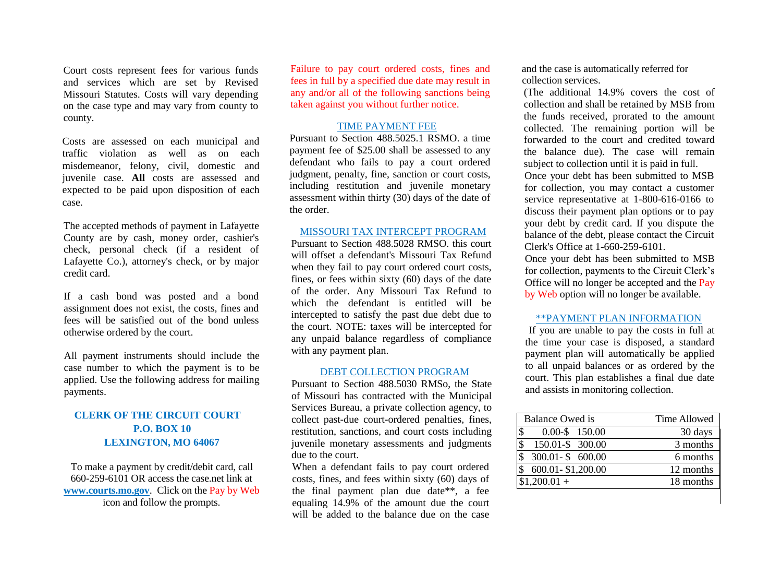Court costs represent fees for various funds and services which are set by Revised Missouri Statutes. Costs will vary depending on the case type and may vary from county to county.

Costs are assessed on each municipal and traffic violation as well as on each misdemeanor, felony, civil, domestic and juvenile case. **All** costs are assessed and expected to be paid upon disposition of each case.

The accepted methods of payment in Lafayette County are by cash, money order, cashier's check, personal check (if a resident of Lafayette Co.), attorney's check, or by major credit card.

If a cash bond was posted and a bond assignment does not exist, the costs, fines and fees will be satisfied out of the bond unless otherwise ordered by the court.

All payment instruments should include the case number to which the payment is to be applied. Use the following address for mailing payments.

## **CLERK OF THE CIRCUIT COURT P.O. BOX 10 LEXINGTON, MO 64067**

To make a payment by credit/debit card, call 660-259-6101 OR access the case.net link at **[www.courts.mo.gov](http://www.courts.mo.gov/)**. Click on the Pay by Web icon and follow the prompts.

Failure to pay court ordered costs, fines and fees in full by a specified due date may result in any and/or all of the following sanctions being taken against you without further notice.

### TIME PAYMENT FEE

Pursuant to Section 488.5025.1 RSMO. a time payment fee of \$25.00 shall be assessed to any defendant who fails to pay a court ordered judgment, penalty, fine, sanction or court costs, including restitution and juvenile monetary assessment within thirty (30) days of the date of the order.

#### MISSOURI TAX INTERCEPT PROGRAM

Pursuant to Section 488.5028 RMSO. this court will offset a defendant's Missouri Tax Refund when they fail to pay court ordered court costs, fines, or fees within sixty (60) days of the date of the order. Any Missouri Tax Refund to which the defendant is entitled will be intercepted to satisfy the past due debt due to the court. NOTE: taxes will be intercepted for any unpaid balance regardless of compliance with any payment plan.

#### DEBT COLLECTION PROGRAM

Pursuant to Section 488.5030 RMSo, the State of Missouri has contracted with the Municipal Services Bureau, a private collection agency, to collect past-due court-ordered penalties, fines, restitution, sanctions, and court costs including juvenile monetary assessments and judgments due to the court.

When a defendant fails to pay court ordered costs, fines, and fees within sixty (60) days of the final payment plan due date\*\*, a fee equaling 14.9% of the amount due the court will be added to the balance due on the case

and the case is automatically referred for collection services.

(The additional 14.9% covers the cost of collection and shall be retained by MSB from the funds received, prorated to the amount collected. The remaining portion will be forwarded to the court and credited toward the balance due). The case will remain subject to collection until it is paid in full.

Once your debt has been submitted to MSB for collection, you may contact a customer service representative at 1-800-616-0166 to discuss their payment plan options or to pay your debt by credit card. If you dispute the balance of the debt, please contact the Circuit Clerk's Office at 1-660-259-6101.

Once your debt has been submitted to MSB for collection, payments to the Circuit Clerk's Office will no longer be accepted and the Pay by Web option will no longer be available.

#### \*\*PAYMENT PLAN INFORMATION

If you are unable to pay the costs in full at the time your case is disposed, a standard payment plan will automatically be applied to all unpaid balances or as ordered by the court. This plan establishes a final due date and assists in monitoring collection.

| <b>Balance Owed is</b>                        | <b>Time Allowed</b> |
|-----------------------------------------------|---------------------|
| \$<br>$0.00 - $ 150.00$                       | 30 days             |
| $\boldsymbol{\mathsf{S}}$<br>150.01-\$ 300.00 | 3 months            |
| $\mathcal{S}$<br>$300.01 - $600.00$           | 6 months            |
| 600.01 - \$1,200.00                           | 12 months           |
| $$1,200.01+$                                  | 18 months           |